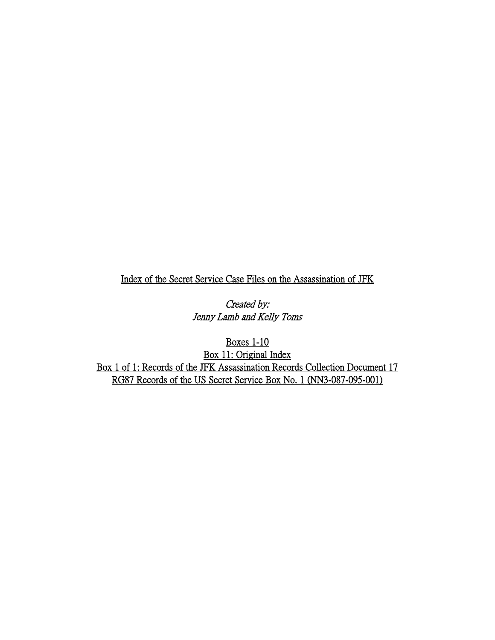Index of the Secret Service Case Files on the Assassination of JFK

Created by: Jenny Lamb and Kelly Toms

Boxes 1-10 Box 11: Original Index Box 1 of 1: Records of the JFK Assassination Records Collection Document 17 RG87 Records of the US Secret Service Box No. 1 (NN3-087-095-001)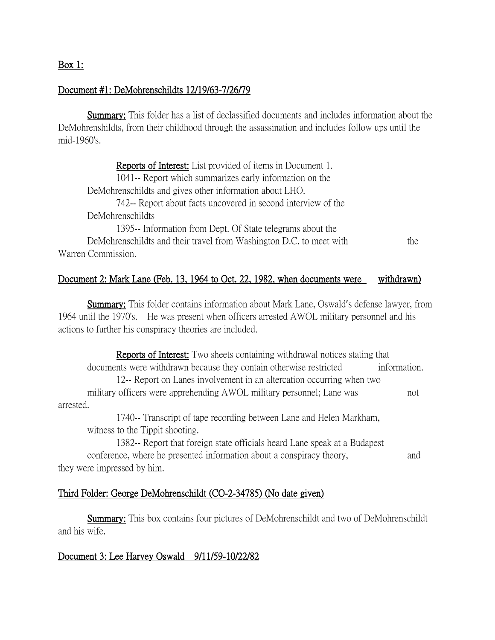## Box 1:

#### Document #1: DeMohrenschildts 12/19/63-7/26/79

Summary: This folder has a list of declassified documents and includes information about the DeMohrenshildts, from their childhood through the assassination and includes follow ups until the mid-1960's.

Reports of Interest: List provided of items in Document 1. 1041-- Report which summarizes early information on the DeMohrenschildts and gives other information about LHO. 742-- Report about facts uncovered in second interview of the DeMohrenschildts 1395-- Information from Dept. Of State telegrams about the DeMohrenschildts and their travel from Washington D.C. to meet with the Warren Commission.

#### Document 2: Mark Lane (Feb. 13, 1964 to Oct. 22, 1982, when documents were withdrawn)

Summary: This folder contains information about Mark Lane, Oswald's defense lawyer, from 1964 until the 1970's. He was present when officers arrested AWOL military personnel and his actions to further his conspiracy theories are included.

Reports of Interest: Two sheets containing withdrawal notices stating that documents were withdrawn because they contain otherwise restricted information. 12-- Report on Lanes involvement in an altercation occurring when two military officers were apprehending AWOL military personnel; Lane was not arrested. 1740-- Transcript of tape recording between Lane and Helen Markham,

witness to the Tippit shooting. 1382-- Report that foreign state officials heard Lane speak at a Budapest

conference, where he presented information about a conspiracy theory, and they were impressed by him.

#### Third Folder: George DeMohrenschildt (CO-2-34785) (No date given)

Summary: This box contains four pictures of DeMohrenschildt and two of DeMohrenschildt and his wife.

## Document 3: Lee Harvey Oswald 9/11/59-10/22/82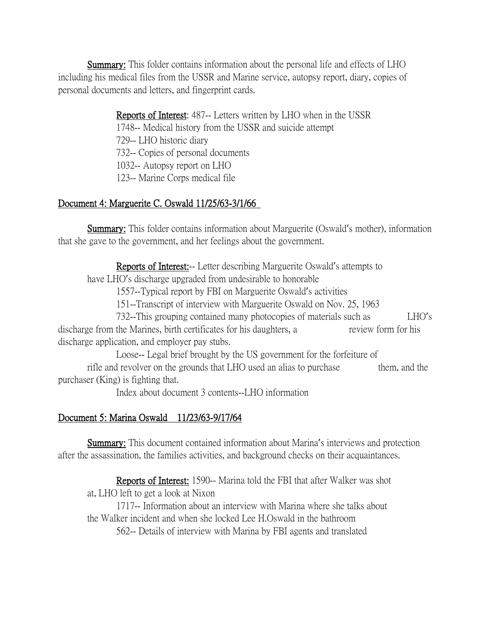Summary: This folder contains information about the personal life and effects of LHO including his medical files from the USSR and Marine service, autopsy report, diary, copies of personal documents and letters, and fingerprint cards.

> Reports of Interest: 487-- Letters written by LHO when in the USSR 1748-- Medical history from the USSR and suicide attempt 729-- LHO historic diary 732-- Copies of personal documents 1032-- Autopsy report on LHO 123-- Marine Corps medical file

## Document 4: Marguerite C. Oswald 11/25/63-3/1/66

Summary: This folder contains information about Marguerite (Oswald's mother), information that she gave to the government, and her feelings about the government.

Reports of Interest:-- Letter describing Marguerite Oswald's attempts to

have LHO's discharge upgraded from undesirable to honorable

1557--Typical report by FBI on Marguerite Oswald's activities

151--Transcript of interview with Marguerite Oswald on Nov. 25, 1963

732--This grouping contained many photocopies of materials such as LHO's discharge from the Marines, birth certificates for his daughters, a review form for his discharge application, and employer pay stubs.

Loose-- Legal brief brought by the US government for the forfeiture of rifle and revolver on the grounds that LHO used an alias to purchase them, and the purchaser (King) is fighting that.

Index about document 3 contents--LHO information

## Document 5: Marina Oswald 11/23/63-9/17/64

Summary: This document contained information about Marina's interviews and protection after the assassination, the families activities, and background checks on their acquaintances.

Reports of Interest: 1590-- Marina told the FBI that after Walker was shot

at, LHO left to get a look at Nixon 1717-- Information about an interview with Marina where she talks about

the Walker incident and when she locked Lee H.Oswald in the bathroom

562-- Details of interview with Marina by FBI agents and translated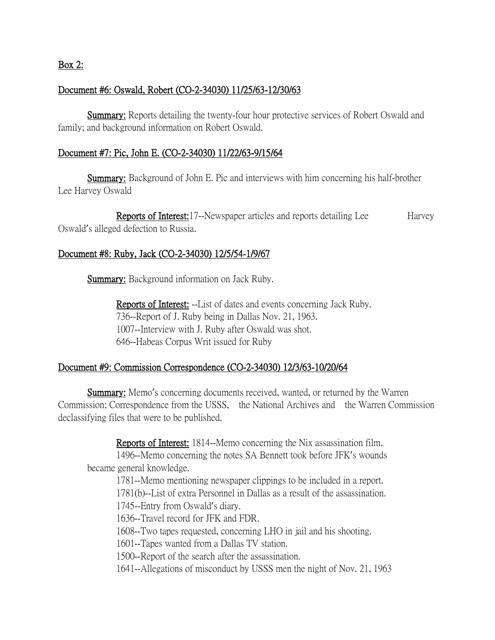## Box 2:

#### Document #6: Oswald, Robert (CO-2-34030) 11/25/63-12/30/63

**Summary:** Reports detailing the twenty-four hour protective services of Robert Oswald and family; and background information on Robert Oswald.

#### Document #7: Pic, John E. (CO-2-34030) 11/22/63-9/15/64

Summary: Background of John E. Pic and interviews with him concerning his half-brother Lee Harvey Oswald

Reports of Interest:17--Newspaper articles and reports detailing Lee Harvey Oswald's alleged defection to Russia.

#### Document #8: Ruby, Jack (CO-2-34030) 12/5/54-1/9/67

Summary: Background information on Jack Ruby.

Reports of Interest: --List of dates and events concerning Jack Ruby. 736--Report of J. Ruby being in Dallas Nov. 21, 1963. 1007--Interview with J. Ruby after Oswald was shot. 646--Habeas Corpus Writ issued for Ruby

## Document #9: Commission Correspondence (CO-2-34030) 12/3/63-10/20/64

Summary: Memo's concerning documents received, wanted, or returned by the Warren Commission; Correspondence from the USSS, the National Archives and the Warren Commission declassifying files that were to be published.

Reports of Interest: 1814--Memo concerning the Nix assassination film.

1496--Memo concerning the notes SA Bennett took before JFK's wounds became general knowledge.

1781--Memo mentioning newspaper clippings to be included in a report.

1781(b)--List of extra Personnel in Dallas as a result of the assassination.

1745--Entry from Oswald's diary.

1636--Travel record for JFK and FDR.

1608--Two tapes requested, concerning LHO in jail and his shooting.

1601--Tapes wanted from a Dallas TV station.

1500--Report of the search after the assassination.

1641--Allegations of misconduct by USSS men the night of Nov. 21, 1963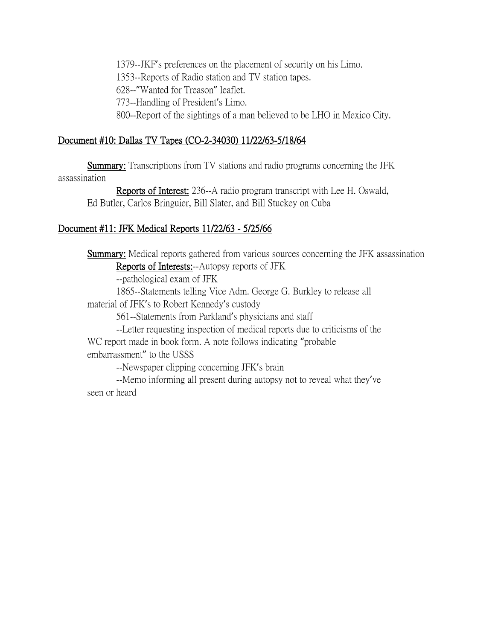1379--JKF's preferences on the placement of security on his Limo. 1353--Reports of Radio station and TV station tapes. 628--"Wanted for Treason" leaflet. 773--Handling of President's Limo. 800--Report of the sightings of a man believed to be LHO in Mexico City.

#### Document #10: Dallas TV Tapes (CO-2-34030) 11/22/63-5/18/64

Summary: Transcriptions from TV stations and radio programs concerning the JFK assassination

Reports of Interest: 236--A radio program transcript with Lee H. Oswald, Ed Butler, Carlos Bringuier, Bill Slater, and Bill Stuckey on Cuba

## Document #11: JFK Medical Reports 11/22/63 - 5/25/66

Summary: Medical reports gathered from various sources concerning the JFK assassination Reports of Interests:--Autopsy reports of JFK

--pathological exam of JFK

1865--Statements telling Vice Adm. George G. Burkley to release all material of JFK's to Robert Kennedy's custody

561--Statements from Parkland's physicians and staff

--Letter requesting inspection of medical reports due to criticisms of the WC report made in book form. A note follows indicating "probable embarrassment" to the USSS

--Newspaper clipping concerning JFK's brain

--Memo informing all present during autopsy not to reveal what they've seen or heard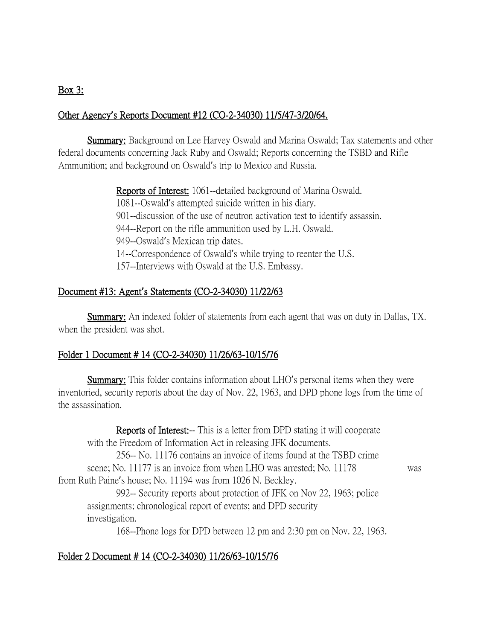#### Box 3:

## Other Agency**'**s Reports Document #12 (CO-2-34030) 11/5/47-3/20/64.

**Summary:** Background on Lee Harvey Oswald and Marina Oswald; Tax statements and other federal documents concerning Jack Ruby and Oswald; Reports concerning the TSBD and Rifle Ammunition; and background on Oswald's trip to Mexico and Russia.

> Reports of Interest: 1061--detailed background of Marina Oswald. 1081--Oswald's attempted suicide written in his diary. 901--discussion of the use of neutron activation test to identify assassin. 944--Report on the rifle ammunition used by L.H. Oswald. 949--Oswald's Mexican trip dates. 14--Correspondence of Oswald's while trying to reenter the U.S. 157--Interviews with Oswald at the U.S. Embassy.

## Document #13: Agent**'**s Statements (CO-2-34030) 11/22/63

Summary: An indexed folder of statements from each agent that was on duty in Dallas, TX. when the president was shot.

## Folder 1 Document # 14 (CO-2-34030) 11/26/63-10/15/76

Summary: This folder contains information about LHO's personal items when they were inventoried, security reports about the day of Nov. 22, 1963, and DPD phone logs from the time of the assassination.

Reports of Interest:-- This is a letter from DPD stating it will cooperate with the Freedom of Information Act in releasing JFK documents. 256-- No. 11176 contains an invoice of items found at the TSBD crime scene; No. 11177 is an invoice from when LHO was arrested; No. 11178 was from Ruth Paine's house; No. 11194 was from 1026 N. Beckley. 992-- Security reports about protection of JFK on Nov 22, 1963; police assignments; chronological report of events; and DPD security investigation. 168--Phone logs for DPD between 12 pm and 2:30 pm on Nov. 22, 1963.

## Folder 2 Document # 14 (CO-2-34030) 11/26/63-10/15/76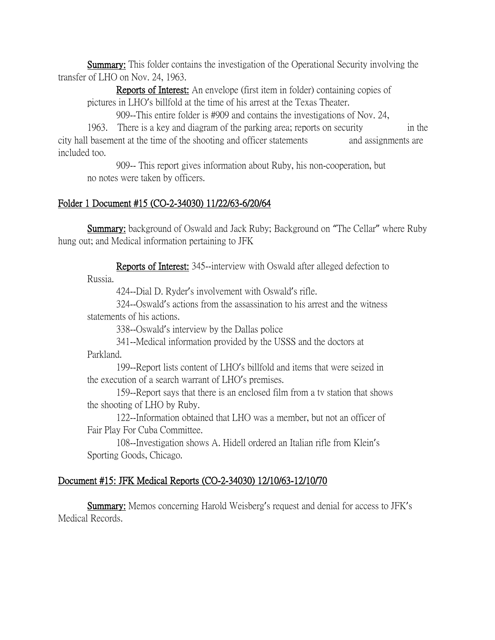Summary: This folder contains the investigation of the Operational Security involving the transfer of LHO on Nov. 24, 1963.

Reports of Interest: An envelope (first item in folder) containing copies of pictures in LHO's billfold at the time of his arrest at the Texas Theater.

909--This entire folder is #909 and contains the investigations of Nov. 24,

1963. There is a key and diagram of the parking area; reports on security in the city hall basement at the time of the shooting and officer statements and assignments are included too.

909-- This report gives information about Ruby, his non-cooperation, but no notes were taken by officers.

## Folder 1 Document #15 (CO-2-34030) 11/22/63-6/20/64

Summary: background of Oswald and Jack Ruby; Background on "The Cellar" where Ruby hung out; and Medical information pertaining to JFK

Reports of Interest: 345--interview with Oswald after alleged defection to

Russia.

424--Dial D. Ryder's involvement with Oswald's rifle.

324--Oswald's actions from the assassination to his arrest and the witness statements of his actions.

338--Oswald's interview by the Dallas police

341--Medical information provided by the USSS and the doctors at Parkland.

199--Report lists content of LHO's billfold and items that were seized in the execution of a search warrant of LHO's premises.

159--Report says that there is an enclosed film from a tv station that shows the shooting of LHO by Ruby.

122--Information obtained that LHO was a member, but not an officer of Fair Play For Cuba Committee.

108--Investigation shows A. Hidell ordered an Italian rifle from Klein's Sporting Goods, Chicago.

## Document #15: JFK Medical Reports (CO-2-34030) 12/10/63-12/10/70

Summary: Memos concerning Harold Weisberg's request and denial for access to JFK's Medical Records.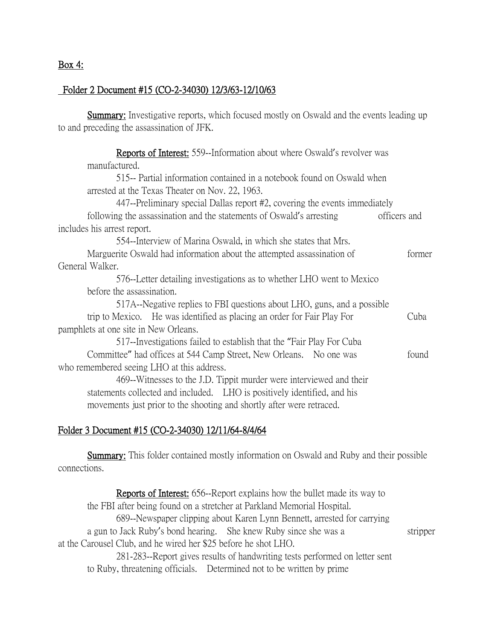## Box 4:

#### Folder 2 Document #15 (CO-2-34030) 12/3/63-12/10/63

Summary: Investigative reports, which focused mostly on Oswald and the events leading up to and preceding the assassination of JFK.

Reports of Interest: 559--Information about where Oswald's revolver was manufactured.

515-- Partial information contained in a notebook found on Oswald when arrested at the Texas Theater on Nov. 22, 1963.

447--Preliminary special Dallas report #2, covering the events immediately following the assassination and the statements of Oswald's arresting officers and includes his arrest report. 554--Interview of Marina Oswald, in which she states that Mrs.

Marguerite Oswald had information about the attempted assassination of former General Walker.

576--Letter detailing investigations as to whether LHO went to Mexico before the assassination.

517A--Negative replies to FBI questions about LHO, guns, and a possible trip to Mexico. He was identified as placing an order for Fair Play For Cuba pamphlets at one site in New Orleans.

517--Investigations failed to establish that the "Fair Play For Cuba Committee" had offices at 544 Camp Street, New Orleans. No one was found

who remembered seeing LHO at this address.

469--Witnesses to the J.D. Tippit murder were interviewed and their statements collected and included. LHO is positively identified, and his movements just prior to the shooting and shortly after were retraced.

#### Folder 3 Document #15 (CO-2-34030) 12/11/64-8/4/64

Summary: This folder contained mostly information on Oswald and Ruby and their possible connections.

Reports of Interest: 656--Report explains how the bullet made its way to the FBI after being found on a stretcher at Parkland Memorial Hospital. 689--Newspaper clipping about Karen Lynn Bennett, arrested for carrying a gun to Jack Ruby's bond hearing. She knew Ruby since she was a stripper at the Carousel Club, and he wired her \$25 before he shot LHO. 281-283--Report gives results of handwriting tests performed on letter sent to Ruby, threatening officials. Determined not to be written by prime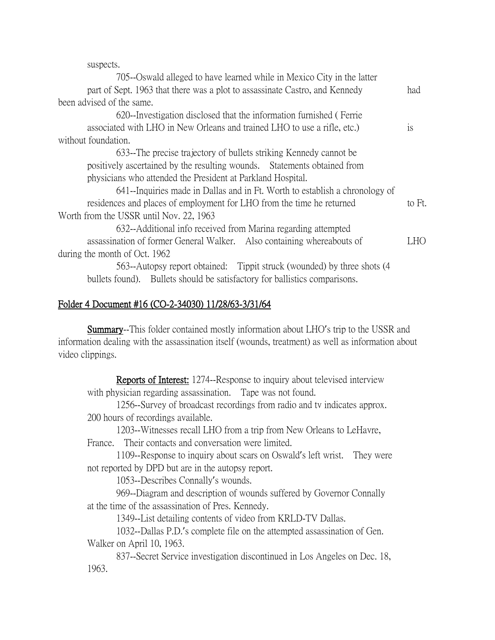suspects.

| 705--Oswald alleged to have learned while in Mexico City in the latter      |        |
|-----------------------------------------------------------------------------|--------|
| part of Sept. 1963 that there was a plot to assassinate Castro, and Kennedy | had    |
| been advised of the same.                                                   |        |
| 620--Investigation disclosed that the information furnished (Ferrie         |        |
| associated with LHO in New Orleans and trained LHO to use a rifle, etc.)    | 1S     |
| without foundation.                                                         |        |
| 633--The precise trajectory of bullets striking Kennedy cannot be           |        |
| positively ascertained by the resulting wounds. Statements obtained from    |        |
| physicians who attended the President at Parkland Hospital.                 |        |
| 641–Inquiries made in Dallas and in Ft. Worth to establish a chronology of  |        |
| residences and places of employment for LHO from the time he returned       | to Ft. |
| Worth from the USSR until Nov. 22, 1963                                     |        |
| 632--Additional info received from Marina regarding attempted               |        |
| assassination of former General Walker. Also containing whereabouts of      | LHO    |
| during the month of Oct. 1962                                               |        |
| 563--Autopsy report obtained: Tippit struck (wounded) by three shots (4     |        |
| bullets found). Bullets should be satisfactory for ballistics comparisons.  |        |
|                                                                             |        |

#### Folder 4 Document #16 (CO-2-34030) 11/28/63-3/31/64

Summary--This folder contained mostly information about LHO's trip to the USSR and information dealing with the assassination itself (wounds, treatment) as well as information about video clippings.

Reports of Interest: 1274--Response to inquiry about televised interview with physician regarding assassination. Tape was not found.

1256--Survey of broadcast recordings from radio and tv indicates approx. 200 hours of recordings available.

1203--Witnesses recall LHO from a trip from New Orleans to LeHavre, France. Their contacts and conversation were limited.

1109--Response to inquiry about scars on Oswald's left wrist. They were not reported by DPD but are in the autopsy report.

1053--Describes Connally's wounds.

969--Diagram and description of wounds suffered by Governor Connally at the time of the assassination of Pres. Kennedy.

1349--List detailing contents of video from KRLD-TV Dallas.

1032--Dallas P.D.'s complete file on the attempted assassination of Gen. Walker on April 10, 1963.

837--Secret Service investigation discontinued in Los Angeles on Dec. 18, 1963.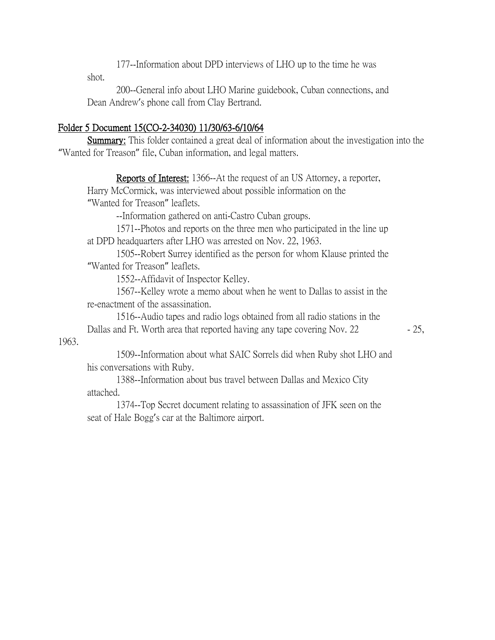177--Information about DPD interviews of LHO up to the time he was

shot.

200--General info about LHO Marine guidebook, Cuban connections, and Dean Andrew's phone call from Clay Bertrand.

## Folder 5 Document 15(CO-2-34030) 11/30/63-6/10/64

Summary: This folder contained a great deal of information about the investigation into the "Wanted for Treason" file, Cuban information, and legal matters.

Reports of Interest: 1366--At the request of an US Attorney, a reporter,

Harry McCormick, was interviewed about possible information on the "Wanted for Treason" leaflets.

--Information gathered on anti-Castro Cuban groups.

1571--Photos and reports on the three men who participated in the line up at DPD headquarters after LHO was arrested on Nov. 22, 1963.

1505--Robert Surrey identified as the person for whom Klause printed the "Wanted for Treason" leaflets.

1552--Affidavit of Inspector Kelley.

1567--Kelley wrote a memo about when he went to Dallas to assist in the re-enactment of the assassination.

1516--Audio tapes and radio logs obtained from all radio stations in the Dallas and Ft. Worth area that reported having any tape covering Nov. 22 - 25,

1963.

1509--Information about what SAIC Sorrels did when Ruby shot LHO and his conversations with Ruby.

1388--Information about bus travel between Dallas and Mexico City attached.

1374--Top Secret document relating to assassination of JFK seen on the seat of Hale Bogg's car at the Baltimore airport.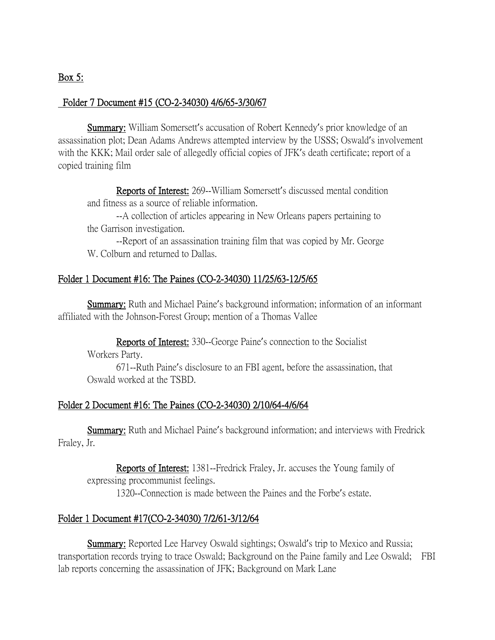## Box 5:

## Folder 7 Document #15 (CO-2-34030) 4/6/65-3/30/67

Summary: William Somersett's accusation of Robert Kennedy's prior knowledge of an assassination plot; Dean Adams Andrews attempted interview by the USSS; Oswald's involvement with the KKK; Mail order sale of allegedly official copies of JFK's death certificate; report of a copied training film

Reports of Interest: 269--William Somersett's discussed mental condition and fitness as a source of reliable information.

--A collection of articles appearing in New Orleans papers pertaining to the Garrison investigation.

--Report of an assassination training film that was copied by Mr. George W. Colburn and returned to Dallas.

## Folder 1 Document #16: The Paines (CO-2-34030) 11/25/63-12/5/65

Summary: Ruth and Michael Paine's background information; information of an informant affiliated with the Johnson-Forest Group; mention of a Thomas Vallee

Reports of Interest: 330--George Paine's connection to the Socialist

Workers Party.

671--Ruth Paine's disclosure to an FBI agent, before the assassination, that Oswald worked at the TSBD.

## Folder 2 Document #16: The Paines (CO-2-34030) 2/10/64-4/6/64

Summary: Ruth and Michael Paine's background information; and interviews with Fredrick Fraley, Jr.

Reports of Interest: 1381--Fredrick Fraley, Jr. accuses the Young family of expressing procommunist feelings. 1320--Connection is made between the Paines and the Forbe's estate.

## Folder 1 Document #17(CO-2-34030) 7/2/61-3/12/64

Summary: Reported Lee Harvey Oswald sightings; Oswald's trip to Mexico and Russia; transportation records trying to trace Oswald; Background on the Paine family and Lee Oswald; FBI lab reports concerning the assassination of JFK; Background on Mark Lane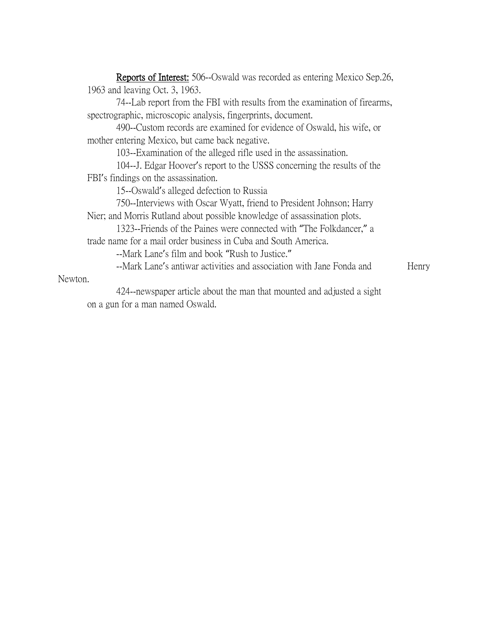Reports of Interest: 506--Oswald was recorded as entering Mexico Sep.26, 1963 and leaving Oct. 3, 1963.

74--Lab report from the FBI with results from the examination of firearms, spectrographic, microscopic analysis, fingerprints, document.

490--Custom records are examined for evidence of Oswald, his wife, or mother entering Mexico, but came back negative.

103--Examination of the alleged rifle used in the assassination.

104--J. Edgar Hoover's report to the USSS concerning the results of the FBI's findings on the assassination.

15--Oswald's alleged defection to Russia

750--Interviews with Oscar Wyatt, friend to President Johnson; Harry Nier; and Morris Rutland about possible knowledge of assassination plots.

1323--Friends of the Paines were connected with "The Folkdancer," a trade name for a mail order business in Cuba and South America.

--Mark Lane's film and book "Rush to Justice."

--Mark Lane's antiwar activities and association with Jane Fonda and Henry

Newton.

424--newspaper article about the man that mounted and adjusted a sight on a gun for a man named Oswald.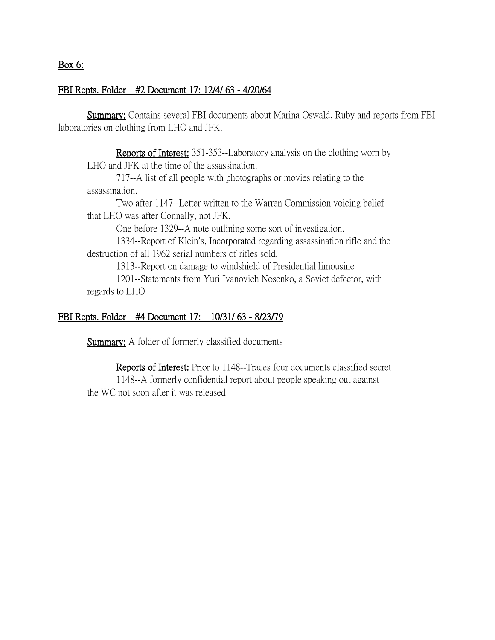## Box 6:

#### FBI Repts. Folder #2 Document 17: 12/4/ 63 - 4/20/64

Summary: Contains several FBI documents about Marina Oswald, Ruby and reports from FBI laboratories on clothing from LHO and JFK.

Reports of Interest: 351-353--Laboratory analysis on the clothing worn by LHO and JFK at the time of the assassination.

717--A list of all people with photographs or movies relating to the assassination.

Two after 1147--Letter written to the Warren Commission voicing belief that LHO was after Connally, not JFK.

One before 1329--A note outlining some sort of investigation.

1334--Report of Klein's, Incorporated regarding assassination rifle and the destruction of all 1962 serial numbers of rifles sold.

1313--Report on damage to windshield of Presidential limousine

1201--Statements from Yuri Ivanovich Nosenko, a Soviet defector, with regards to LHO

## FBI Repts. Folder #4 Document 17: 10/31/ 63 - 8/23/79

Summary: A folder of formerly classified documents

Reports of Interest: Prior to 1148--Traces four documents classified secret 1148--A formerly confidential report about people speaking out against the WC not soon after it was released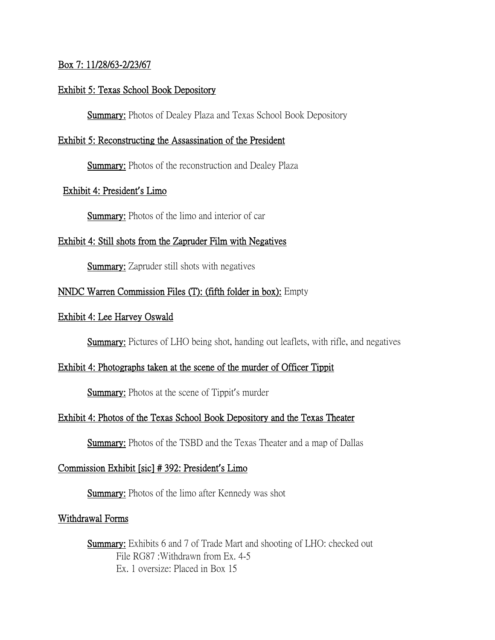#### Box 7: 11/28/63-2/23/67

#### Exhibit 5: Texas School Book Depository

Summary: Photos of Dealey Plaza and Texas School Book Depository

#### Exhibit 5: Reconstructing the Assassination of the President

Summary: Photos of the reconstruction and Dealey Plaza

#### Exhibit 4: President**'**s Limo

Summary: Photos of the limo and interior of car

#### Exhibit 4: Still shots from the Zapruder Film with Negatives

Summary: Zapruder still shots with negatives

#### NNDC Warren Commission Files (T): (fifth folder in box): Empty

#### Exhibit 4: Lee Harvey Oswald

**Summary:** Pictures of LHO being shot, handing out leaflets, with rifle, and negatives

#### Exhibit 4: Photographs taken at the scene of the murder of Officer Tippit

Summary: Photos at the scene of Tippit's murder

#### Exhibit 4: Photos of the Texas School Book Depository and the Texas Theater

Summary: Photos of the TSBD and the Texas Theater and a map of Dallas

#### Commission Exhibit [sic] # 392: President**'**s Limo

Summary: Photos of the limo after Kennedy was shot

#### Withdrawal Forms

Summary: Exhibits 6 and 7 of Trade Mart and shooting of LHO: checked out File RG87 :Withdrawn from Ex. 4-5 Ex. 1 oversize: Placed in Box 15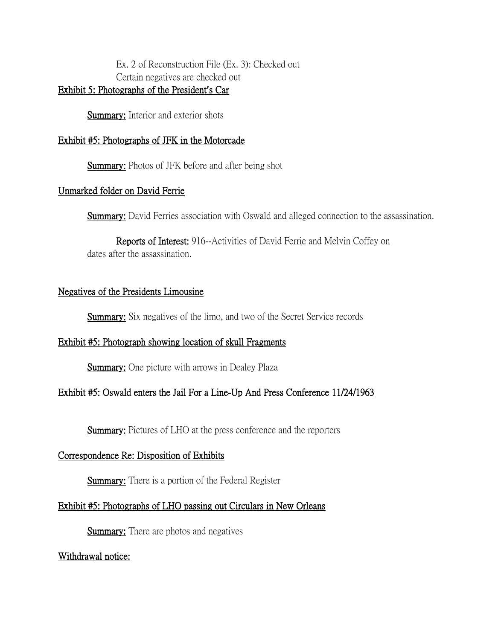Ex. 2 of Reconstruction File (Ex. 3): Checked out Certain negatives are checked out

## Exhibit 5: Photographs of the President**'**s Car

Summary: Interior and exterior shots

## Exhibit #5: Photographs of JFK in the Motorcade

Summary: Photos of JFK before and after being shot

## Unmarked folder on David Ferrie

**Summary:** David Ferries association with Oswald and alleged connection to the assassination.

Reports of Interest: 916--Activities of David Ferrie and Melvin Coffey on dates after the assassination.

## Negatives of the Presidents Limousine

Summary: Six negatives of the limo, and two of the Secret Service records

## Exhibit #5: Photograph showing location of skull Fragments

Summary: One picture with arrows in Dealey Plaza

## Exhibit #5: Oswald enters the Jail For a Line-Up And Press Conference 11/24/1963

**Summary:** Pictures of LHO at the press conference and the reporters

## Correspondence Re: Disposition of Exhibits

**Summary:** There is a portion of the Federal Register

## Exhibit #5: Photographs of LHO passing out Circulars in New Orleans

Summary: There are photos and negatives

Withdrawal notice: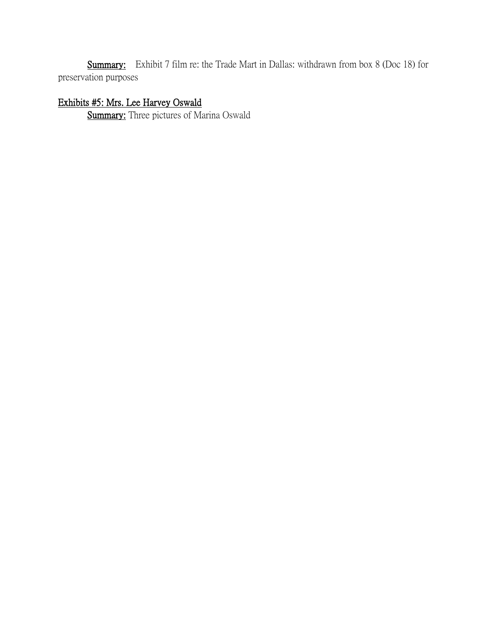Summary: Exhibit 7 film re: the Trade Mart in Dallas: withdrawn from box 8 (Doc 18) for preservation purposes

# Exhibits #5: Mrs. Lee Harvey Oswald

Summary: Three pictures of Marina Oswald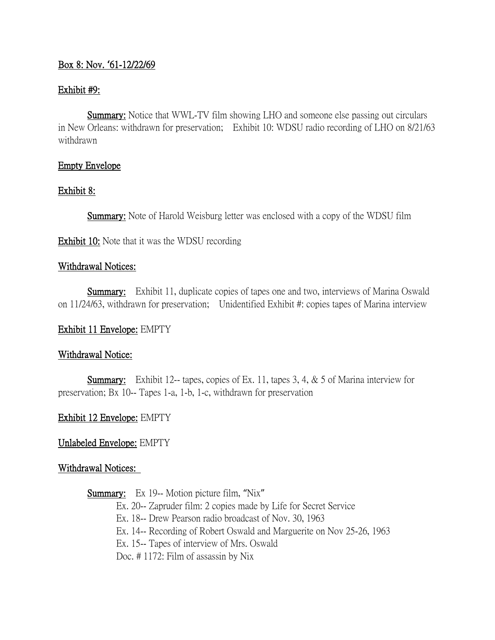## Box 8: Nov. **'**61-12/22/69

#### Exhibit #9:

Summary: Notice that WWL-TV film showing LHO and someone else passing out circulars in New Orleans: withdrawn for preservation; Exhibit 10: WDSU radio recording of LHO on 8/21/63 withdrawn

#### Empty Envelope

## Exhibit 8:

Summary: Note of Harold Weisburg letter was enclosed with a copy of the WDSU film

Exhibit 10: Note that it was the WDSU recording

#### Withdrawal Notices:

**Summary:** Exhibit 11, duplicate copies of tapes one and two, interviews of Marina Oswald on 11/24/63, withdrawn for preservation; Unidentified Exhibit #: copies tapes of Marina interview

## Exhibit 11 Envelope: EMPTY

#### Withdrawal Notice:

**Summary:** Exhibit 12-- tapes, copies of Ex. 11, tapes 3, 4,  $\&$  5 of Marina interview for preservation; Bx 10-- Tapes 1-a, 1-b, 1-c, withdrawn for preservation

#### Exhibit 12 Envelope: EMPTY

#### Unlabeled Envelope: EMPTY

#### Withdrawal Notices:

Summary: Ex 19-- Motion picture film, "Nix" Ex. 20-- Zapruder film: 2 copies made by Life for Secret Service Ex. 18-- Drew Pearson radio broadcast of Nov. 30, 1963 Ex. 14-- Recording of Robert Oswald and Marguerite on Nov 25-26, 1963 Ex. 15-- Tapes of interview of Mrs. Oswald Doc. # 1172: Film of assassin by Nix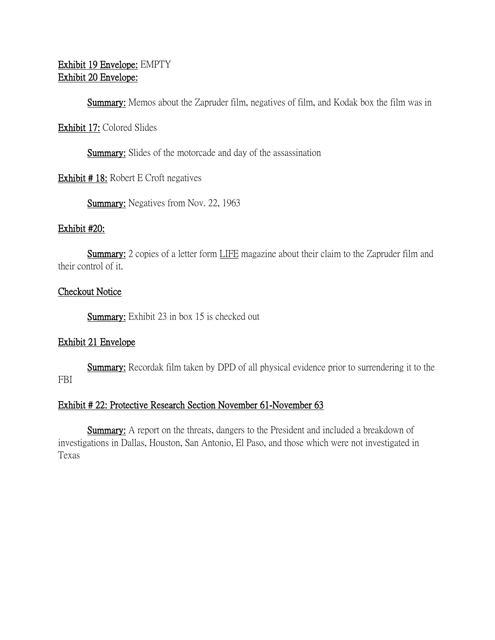## Exhibit 19 Envelope: EMPTY Exhibit 20 Envelope:

Summary: Memos about the Zapruder film, negatives of film, and Kodak box the film was in

Exhibit 17: Colored Slides

Summary: Slides of the motorcade and day of the assassination

Exhibit # 18: Robert E Croft negatives

Summary: Negatives from Nov. 22, 1963

#### Exhibit #20:

Summary: 2 copies of a letter form LIFE magazine about their claim to the Zapruder film and their control of it.

## Checkout Notice

Summary: Exhibit 23 in box 15 is checked out

## Exhibit 21 Envelope

Summary: Recordak film taken by DPD of all physical evidence prior to surrendering it to the FBI

## Exhibit # 22: Protective Research Section November 61-November 63

Summary: A report on the threats, dangers to the President and included a breakdown of investigations in Dallas, Houston, San Antonio, El Paso, and those which were not investigated in Texas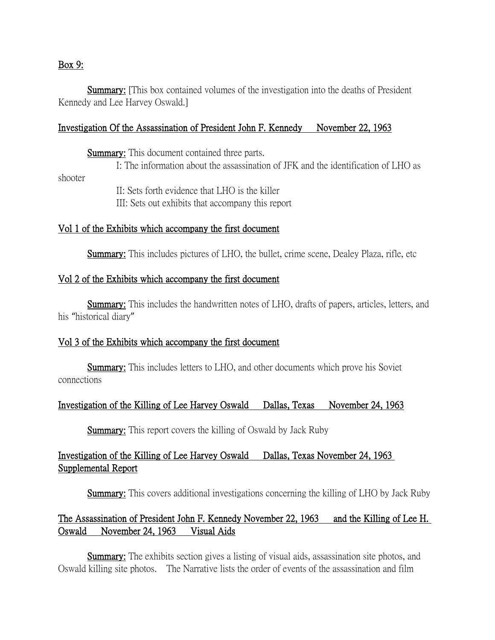## Box 9:

Summary: [This box contained volumes of the investigation into the deaths of President Kennedy and Lee Harvey Oswald.]

#### Investigation Of the Assassination of President John F. Kennedy November 22, 1963

Summary: This document contained three parts.

I: The information about the assassination of JFK and the identification of LHO as shooter

II: Sets forth evidence that LHO is the killer

III: Sets out exhibits that accompany this report

#### Vol 1 of the Exhibits which accompany the first document

Summary: This includes pictures of LHO, the bullet, crime scene, Dealey Plaza, rifle, etc

#### Vol 2 of the Exhibits which accompany the first document

Summary: This includes the handwritten notes of LHO, drafts of papers, articles, letters, and his "historical diary"

## Vol 3 of the Exhibits which accompany the first document

Summary: This includes letters to LHO, and other documents which prove his Soviet connections

#### Investigation of the Killing of Lee Harvey Oswald Dallas, Texas November 24, 1963

**Summary:** This report covers the killing of Oswald by Jack Ruby

## Investigation of the Killing of Lee Harvey Oswald Dallas, Texas November 24, 1963 Supplemental Report

Summary: This covers additional investigations concerning the killing of LHO by Jack Ruby

## The Assassination of President John F. Kennedy November 22, 1963 and the Killing of Lee H. Oswald November 24, 1963 Visual Aids

Summary: The exhibits section gives a listing of visual aids, assassination site photos, and Oswald killing site photos. The Narrative lists the order of events of the assassination and film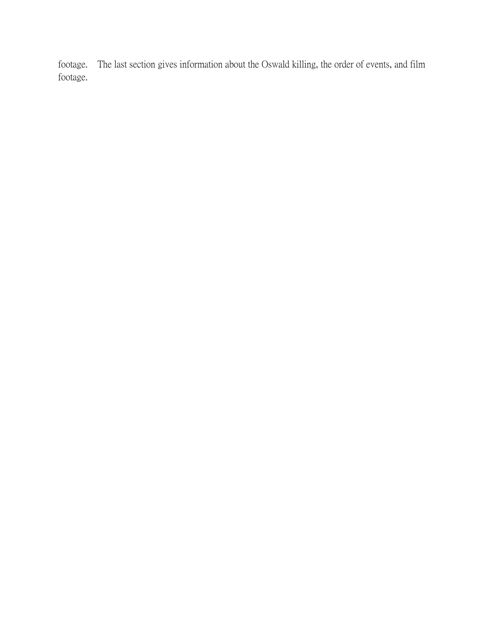footage. The last section gives information about the Oswald killing, the order of events, and film footage.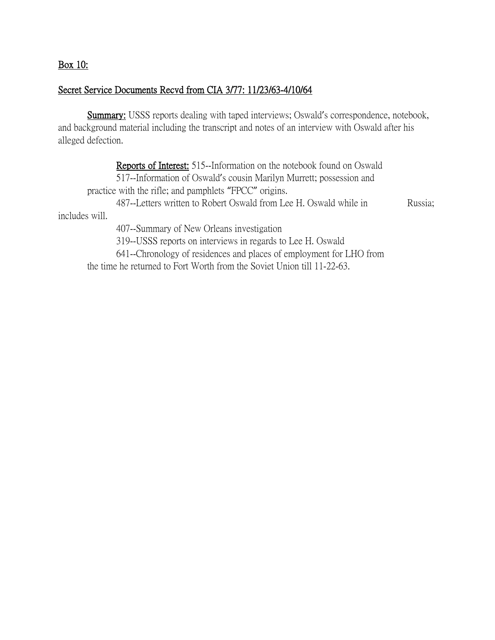## Box 10:

## Secret Service Documents Recvd from CIA 3/77: 11/23/63-4/10/64

Summary: USSS reports dealing with taped interviews; Oswald's correspondence, notebook, and background material including the transcript and notes of an interview with Oswald after his alleged defection.

Reports of Interest: 515--Information on the notebook found on Oswald 517--Information of Oswald's cousin Marilyn Murrett; possession and practice with the rifle; and pamphlets "FPCC" origins. 487--Letters written to Robert Oswald from Lee H. Oswald while in Russia; includes will. 407--Summary of New Orleans investigation 319--USSS reports on interviews in regards to Lee H. Oswald 641--Chronology of residences and places of employment for LHO from

the time he returned to Fort Worth from the Soviet Union till 11-22-63.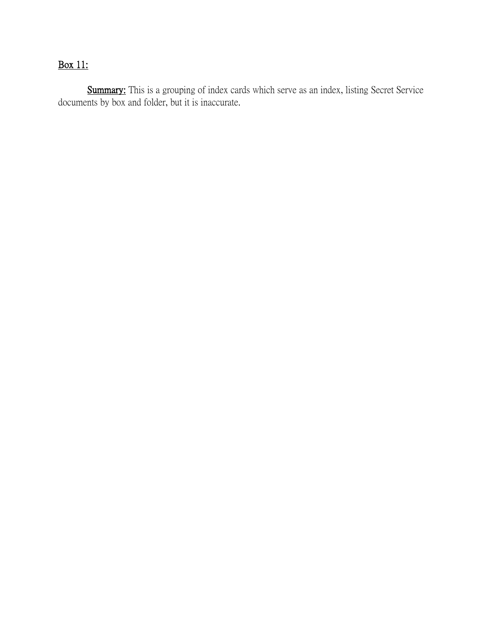# Box 11:

Summary: This is a grouping of index cards which serve as an index, listing Secret Service documents by box and folder, but it is inaccurate.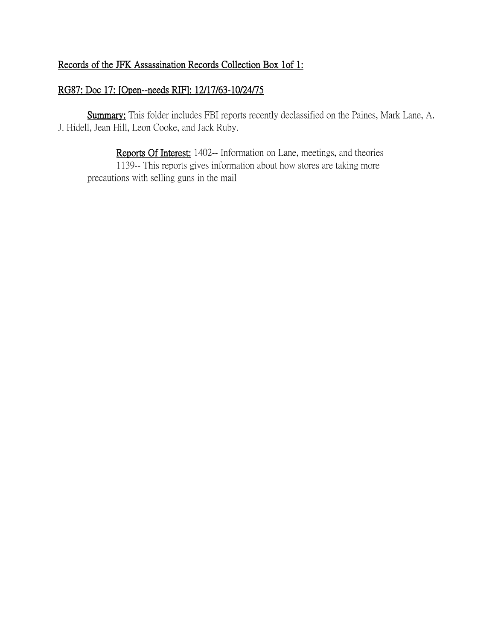## Records of the JFK Assassination Records Collection Box 1of 1:

## RG87: Doc 17: [Open--needs RIF]: 12/17/63-10/24/75

Summary: This folder includes FBI reports recently declassified on the Paines, Mark Lane, A. J. Hidell, Jean Hill, Leon Cooke, and Jack Ruby.

Reports Of Interest: 1402-- Information on Lane, meetings, and theories 1139-- This reports gives information about how stores are taking more precautions with selling guns in the mail